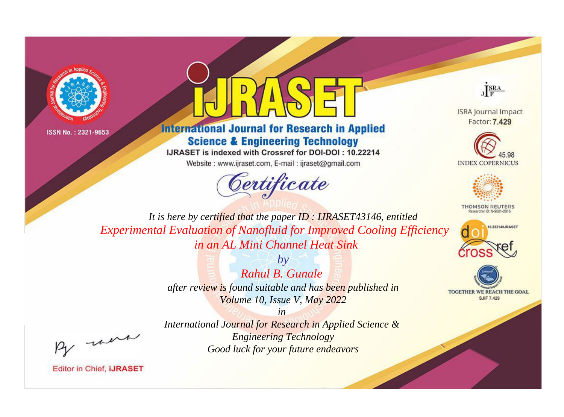



## **International Journal for Research in Applied Science & Engineering Technology**

IJRASET is indexed with Crossref for DOI-DOI: 10.22214

Website: www.ijraset.com, E-mail: ijraset@gmail.com





**ISRA Journal Impact** Factor: 7.429





**THOMSON REUTERS** 



TOGETHER WE REACH THE GOAL **SJIF 7.429** 

*It is here by certified that the paper ID : IJRASET43146, entitled Experimental Evaluation of Nanofluid for Improved Cooling Efficiency in an AL Mini Channel Heat Sink*

> *by Rahul B. Gunale after review is found suitable and has been published in Volume 10, Issue V, May 2022*

, un

*International Journal for Research in Applied Science & Engineering Technology Good luck for your future endeavors*

*in*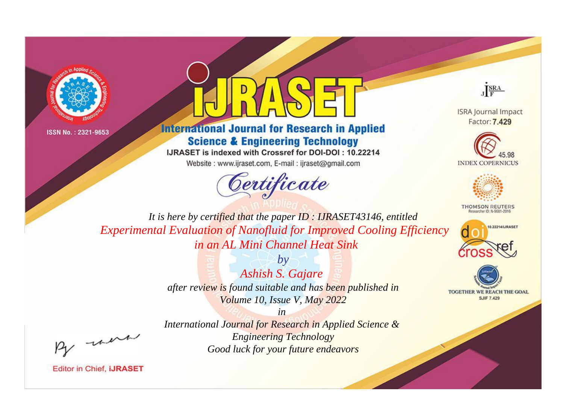



## **International Journal for Research in Applied Science & Engineering Technology**

IJRASET is indexed with Crossref for DOI-DOI: 10.22214

Website: www.ijraset.com, E-mail: ijraset@gmail.com





**ISRA Journal Impact** Factor: 7.429





**THOMSON REUTERS** 



TOGETHER WE REACH THE GOAL **SJIF 7.429** 

*It is here by certified that the paper ID : IJRASET43146, entitled Experimental Evaluation of Nanofluid for Improved Cooling Efficiency in an AL Mini Channel Heat Sink*

> *by Ashish S. Gajare after review is found suitable and has been published in Volume 10, Issue V, May 2022*

, un

*International Journal for Research in Applied Science & Engineering Technology Good luck for your future endeavors*

*in*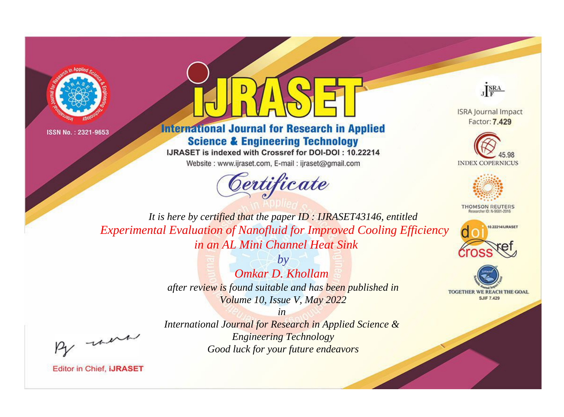



## **International Journal for Research in Applied Science & Engineering Technology**

IJRASET is indexed with Crossref for DOI-DOI: 10.22214

Website: www.ijraset.com, E-mail: ijraset@gmail.com





**ISRA Journal Impact** Factor: 7.429





**THOMSON REUTERS** 



TOGETHER WE REACH THE GOAL **SJIF 7.429** 

*It is here by certified that the paper ID : IJRASET43146, entitled Experimental Evaluation of Nanofluid for Improved Cooling Efficiency in an AL Mini Channel Heat Sink*

> *by Omkar D. Khollam after review is found suitable and has been published in Volume 10, Issue V, May 2022*

, un

*International Journal for Research in Applied Science & Engineering Technology Good luck for your future endeavors*

*in*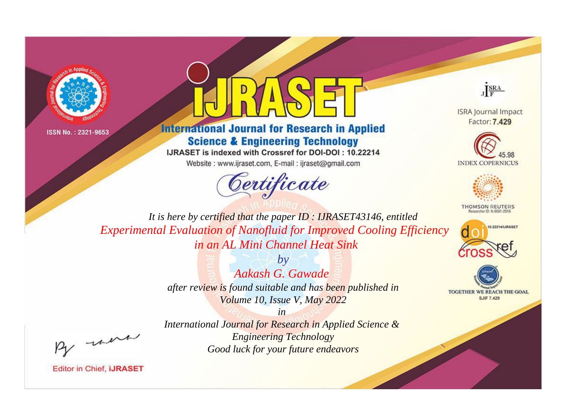



## **International Journal for Research in Applied Science & Engineering Technology**

IJRASET is indexed with Crossref for DOI-DOI: 10.22214

Website: www.ijraset.com, E-mail: ijraset@gmail.com





**ISRA Journal Impact** Factor: 7.429





**THOMSON REUTERS** 



TOGETHER WE REACH THE GOAL **SJIF 7.429** 

*It is here by certified that the paper ID : IJRASET43146, entitled Experimental Evaluation of Nanofluid for Improved Cooling Efficiency in an AL Mini Channel Heat Sink*

> *by Aakash G. Gawade after review is found suitable and has been published in Volume 10, Issue V, May 2022*

, un

*International Journal for Research in Applied Science & Engineering Technology Good luck for your future endeavors*

*in*